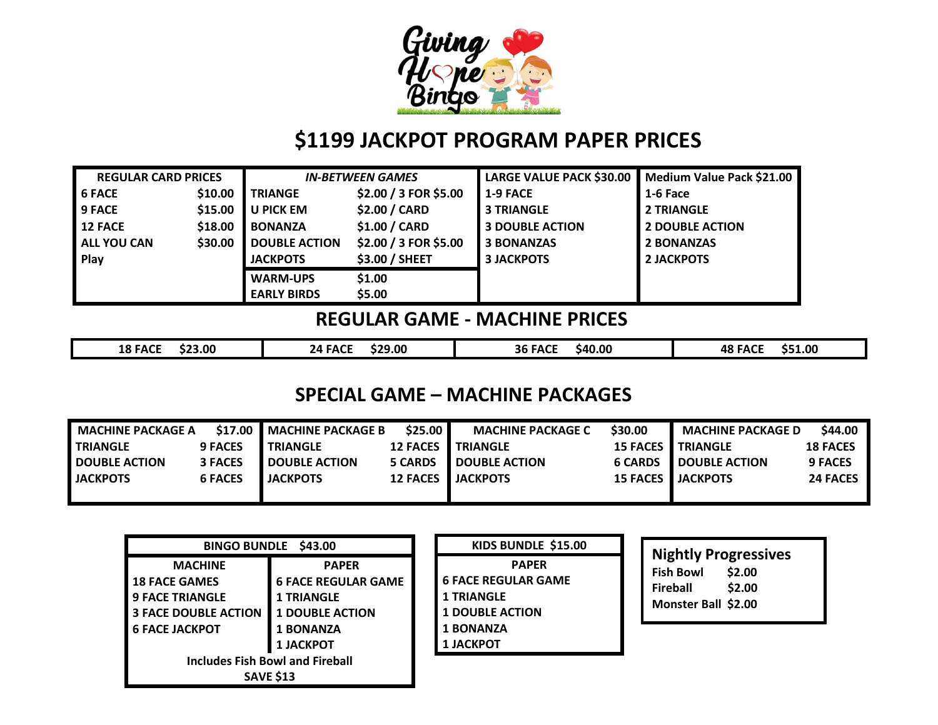

# **\$1199 JACKPOT PROGRAM PAPER PRICES**

| <b>REGULAR CARD PRICES</b> |         | <b>IN-BETWEEN GAMES</b> |                       | <b>LARGE VALUE PACK \$30.00</b> | Medium Value Pack \$21.00 |
|----------------------------|---------|-------------------------|-----------------------|---------------------------------|---------------------------|
| <b>6 FACE</b>              | \$10.00 | <b>TRIANGE</b>          | \$2.00 / 3 FOR \$5.00 | 1-9 FACE                        | 1-6 Face                  |
| <b>9 FACE</b>              | \$15.00 | U PICK EM               | \$2.00 / CARD         | <b>3 TRIANGLE</b>               | <b>2 TRIANGLE</b>         |
| <b>12 FACE</b>             | \$18.00 | <b>BONANZA</b>          | \$1.00 / CARD         | <b>3 DOUBLE ACTION</b>          | <b>2 DOUBLE ACTION</b>    |
| <b>ALL YOU CAN</b>         | \$30.00 | <b>DOUBLE ACTION</b>    | \$2.00 / 3 FOR \$5.00 | <b>3 BONANZAS</b>               | <b>2 BONANZAS</b>         |
| Play                       |         | <b>JACKPOTS</b>         | \$3.00 / SHEET        | <b>3 JACKPOTS</b>               | <b>2 JACKPOTS</b>         |
|                            |         | <b>WARM-UPS</b>         | \$1.00                |                                 |                           |
|                            |         | <b>EARLY BIRDS</b>      | \$5.00                |                                 |                           |

# **REGULAR GAME - MACHINE PRICES**

| \$23.00<br><b>18 FACE</b> | \$29.00<br>24 FACE | \$40.00<br><b>36 FACE</b> | \$51.00<br><b>48 FACF</b><br>. |
|---------------------------|--------------------|---------------------------|--------------------------------|
|                           |                    |                           |                                |

# **SPECIAL GAME – MACHINE PACKAGES**

| <b>MACHINE PACKAGE A</b> | \$17.00 l      | <b>MACHINE PACKAGE B</b> | \$25.00        | <b>MACHINE PACKAGE C</b>   | \$30.00         | <b>MACHINE PACKAGE D</b>   | \$44.00         |
|--------------------------|----------------|--------------------------|----------------|----------------------------|-----------------|----------------------------|-----------------|
| <b>I TRIANGLE</b>        | <b>9 FACES</b> | <b>TRIANGLE</b>          | 12 FACES I     | <b>TRIANGLE</b>            | <b>15 FACES</b> | <b>TRIANGLE</b>            | <b>18 FACES</b> |
| <b>DOUBLE ACTION</b>     | <b>3 FACES</b> | <b>DOUBLE ACTION</b>     | <b>5 CARDS</b> | <b>DOUBLE ACTION</b>       | <b>6 CARDS</b>  | <b>DOUBLE ACTION</b>       | <b>9 FACES</b>  |
| <b>JACKPOTS</b>          | <b>6 FACES</b> | <b>JACKPOTS</b>          |                | <b>12 FACES I JACKPOTS</b> |                 | <b>15 FACES I JACKPOTS</b> | <b>24 FACES</b> |
|                          |                |                          |                |                            |                 |                            |                 |

| BINGO BUNDLE \$43.00                                                                                                                                                                                                                                                                                    | KIDS BUNDLE \$15.00                                                                                                               |                                                                                                        |
|---------------------------------------------------------------------------------------------------------------------------------------------------------------------------------------------------------------------------------------------------------------------------------------------------------|-----------------------------------------------------------------------------------------------------------------------------------|--------------------------------------------------------------------------------------------------------|
| <b>MACHINE</b><br><b>PAPER</b><br><b>6 FACE REGULAR GAME</b><br><b>18 FACE GAMES</b><br><b>9 FACE TRIANGLE</b><br><b>1 TRIANGLE</b><br><b>3 FACE DOUBLE ACTION</b><br><b>1 DOUBLE ACTION</b><br><b>6 FACE JACKPOT</b><br><b>1 BONANZA</b><br><b>1 JACKPOT</b><br><b>Includes Fish Bowl and Fireball</b> | <b>PAPER</b><br><b>6 FACE REGULAR GAME</b><br><b>1 TRIANGLE</b><br><b>1 DOUBLE ACTION</b><br><b>1 BONANZA</b><br><b>1 JACKPOT</b> | <b>Nightly Progressives</b><br>\$2.00<br><b>Fish Bowl</b><br>\$2.00<br>Fireball<br>Monster Ball \$2.00 |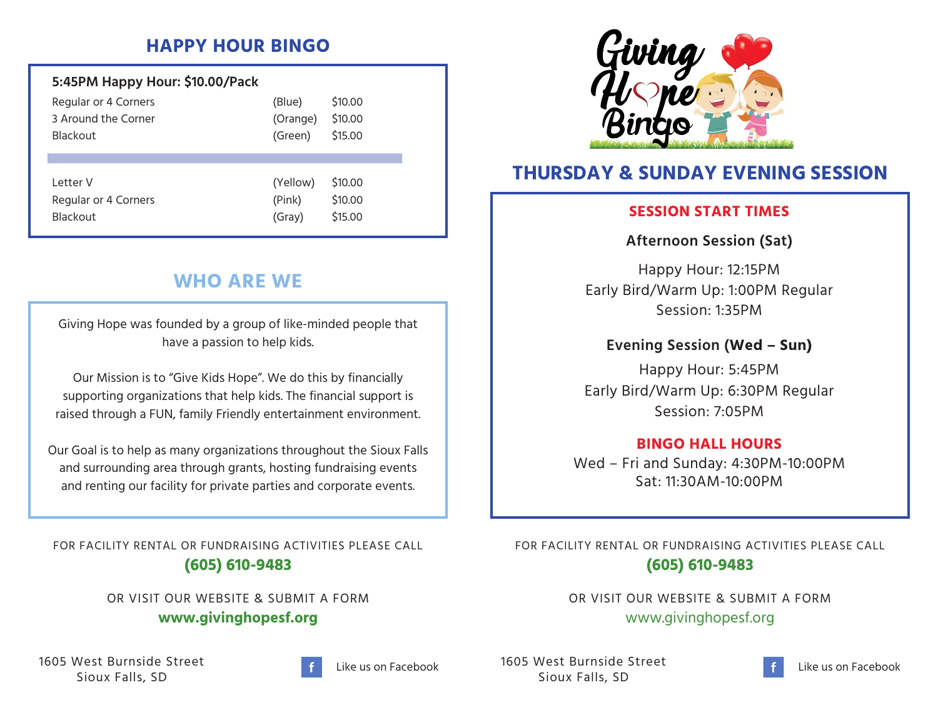# **HAPPY HOUR BINGO**

| 5:45PM Happy Hour: \$10.00/Pack |          |         |
|---------------------------------|----------|---------|
| Regular or 4 Corners            | (Blue)   | \$10.00 |
| 3 Around the Corner             | (Orange) | \$10.00 |
| <b>Blackout</b>                 | (Green)  | \$15.00 |
|                                 |          |         |
| I etter V                       |          |         |
|                                 | (Yellow) | \$10.00 |
| Regular or 4 Corners            | (Pink)   | \$10.00 |
| <b>Blackout</b>                 | (Gray)   | \$15.00 |
|                                 |          |         |

# **WHO ARE WE**

Giving Hope was founded by a group of like-minded people that have a passion to help kids.

Our Mission is to "Give Kids Hope". We do this by financially supporting organizations that help kids. The financial support is raised through a FUN, family Friendly entertainment environment.

Our Goal is to help as many organizations throughout the Sioux Falls and surrounding area through grants, hosting fundraising events and renting our facility for private parties and corporate events.

FOR FACILITY RENTAL OR FUNDRAISING ACTIVITIES PLEASE CALL **(605) 610-9483**

> OR VISIT OUR WEBSITE & SUBMIT A FORM **www.givinghopesf.org**

1605 West Burnside Street Sioux Falls, SD



Like us on Facebook



# **THURSDAY & SUNDAY EVENING SESSION**

### **SESSION START TIMES**

### **Afternoon Session (Sat)**

Happy Hour: 12:15PM Early Bird/Warm Up: 1:00PM Regular Session: 1:35PM

### **Evening Session (Wed – Sun)**

Happy Hour: 5:45PM Early Bird/Warm Up: 6:30PM Regular Session: 7:05PM

### **BINGO HALL HOURS**

Wed – Fri and Sunday: 4:30PM-10:00PM Sat: 11:30AM-10:00PM

FOR FACILITY RENTAL OR FUNDRAISING ACTIVITIES PLEASE CALL **(605) 610-9483**

> OR VISIT OUR WEBSITE & SUBMIT A FORM www.givinghopesf.org

1605 West Burnside Street Sioux Falls, SD